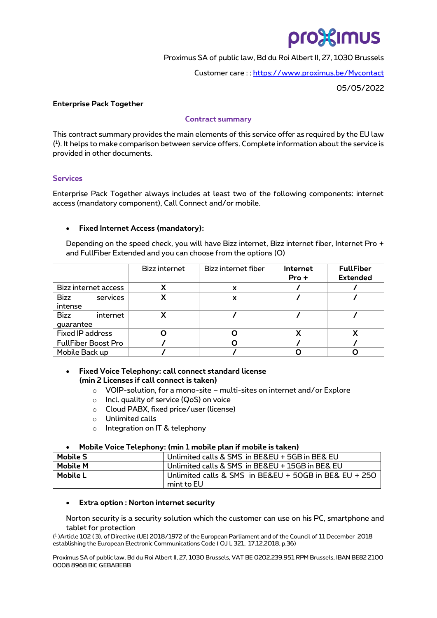# pro Simus

Proximus SA of public law, Bd du Roi Albert II, 27, 1030 Brussels

Customer care : : [https://www.proximus.be/Mycontact](https://www.proximus.be/support/en/id_cl_contact/large-companies/support/contact.html?) 

05/05/2022

## **Enterprise Pack Together**

#### **Contract summary**

This contract summary provides the main elements of this service offer as required by the EU law ( 1 ). It helps to make comparison between service offers. Complete information about the service is provided in other documents.

## **Services**

Enterprise Pack Together always includes at least two of the following components: internet access (mandatory component), Call Connect and/or mobile.

## • **Fixed Internet Access (mandatory):**

Depending on the speed check, you will have Bizz internet, Bizz internet fiber, Internet Pro + and FullFiber Extended and you can choose from the options (O)

|                               | Bizz internet | Bizz internet fiber       | <b>Internet</b><br>Pro + | <b>FullFiber</b><br><b>Extended</b> |
|-------------------------------|---------------|---------------------------|--------------------------|-------------------------------------|
| <b>Bizz internet access</b>   | x             | X                         |                          |                                     |
| Bizz<br>services<br>intense   | X             | $\boldsymbol{\mathsf{x}}$ |                          |                                     |
| Bizz<br>internet<br>guarantee | x             |                           |                          |                                     |
| <b>Fixed IP address</b>       |               |                           | v                        | χ                                   |
| <b>FullFiber Boost Pro</b>    |               |                           |                          |                                     |
| Mobile Back up                |               |                           |                          |                                     |

## • **Fixed Voice Telephony: call connect standard license (min 2 Licenses if call connect is taken)**

- o VOIP-solution, for a mono-site multi-sites on internet and/or Explore
- o Incl. quality of service (QoS) on voice
- o Cloud PABX, fixed price/user (license)
- o Unlimited calls
- o Integration on IT & telephony

## • **Mobile Voice Telephony: (min 1 mobile plan if mobile is taken)**

| <b>Mobile S</b> | Unlimited calls & SMS in BE&EU + 5GB in BE& EU     |  |  |
|-----------------|----------------------------------------------------|--|--|
| Mobile M        | l Unlimited calls & SMS  in BE&EU + 15GB in BE& EU |  |  |
| Mobile L        | mint to EU                                         |  |  |

## • **Extra option : Norton internet security**

Norton security is a security solution which the customer can use on his PC, smartphone and tablet for protection

( 1 )Article 102 ( 3), of Directive (UE) 2018/1972 of the European Parliament and of the Council of 11 December 2018 establishing the European Electronic Communications Code ( OJ L 321, 17.12.2018, p.36)

Proximus SA of public law, Bd du Roi Albert II, 27, 1030 Brussels, VAT BE 0202.239.951 RPM Brussels, IBAN BE82 2100 0008 8968 BIC GEBABEBB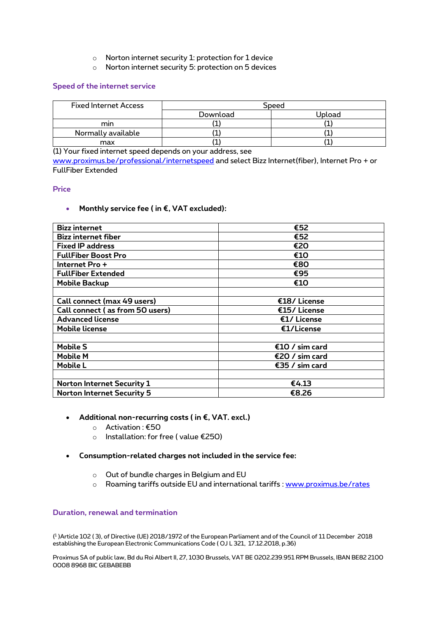- o Norton internet security 1: protection for 1 device
- o Norton internet security 5: protection on 5 devices

## **Speed of the internet service**

| <b>Fixed Internet Access</b> | Speed    |        |  |
|------------------------------|----------|--------|--|
|                              | Download | Upload |  |
| mın                          |          |        |  |
| Normally available           |          |        |  |
| max                          |          |        |  |

(1) Your fixed internet speed depends on your address, see

[www.proximus.be/professional/internetspeed](https://eur03.safelinks.protection.outlook.com/?url=http%3A%2F%2Fwww.proximus.be%2Fprofessional%2Finternetspeed&data=04%7C01%7Cnathalie.huyghebaert%40proximus.com%7C8519c66d39a34b75cf2f08d9fb7dec1f%7Ce7ab81b21e844bf79dcbb6fec01ed138%7C0%7C0%7C637817340510632558%7CUnknown%7CTWFpbGZsb3d8eyJWIjoiMC4wLjAwMDAiLCJQIjoiV2luMzIiLCJBTiI6Ik1haWwiLCJXVCI6Mn0%3D%7C3000&sdata=oG%2Bl0qABVUYm2iSRVI%2FI84SW6EwXNBpUNwfGQ86hMdE%3D&reserved=0) and select Bizz Internet(fiber), Internet Pro + or FullFiber Extended

#### **Price**

• **Monthly service fee ( in €, VAT excluded):**

| <b>Bizz internet</b>              | €52            |  |  |
|-----------------------------------|----------------|--|--|
| <b>Bizz internet fiber</b>        | €52            |  |  |
| <b>Fixed IP address</b>           | €20            |  |  |
| <b>FullFiber Boost Pro</b>        | €10            |  |  |
| Internet Pro +                    | €80            |  |  |
| <b>FullFiber Extended</b>         | €95            |  |  |
| <b>Mobile Backup</b>              | €10            |  |  |
|                                   |                |  |  |
| Call connect (max 49 users)       | €18/License    |  |  |
| Call connect (as from 50 users)   | €15/License    |  |  |
| <b>Advanced license</b>           | €1/ License    |  |  |
| <b>Mobile license</b>             | €1/License     |  |  |
|                                   |                |  |  |
| <b>Mobile S</b>                   | €10 / sim card |  |  |
| Mobile M                          | €20 / sim card |  |  |
| Mobile L                          | €35 / sim card |  |  |
|                                   |                |  |  |
| <b>Norton Internet Security 1</b> | €4.13          |  |  |
| Norton Internet Security 5        | €8.26          |  |  |

- **Additional non-recurring costs ( in €, VAT. excl.)**
	- o Activation : €50
	- o Installation: for free ( value €250)
- **Consumption-related charges not included in the service fee:** 
	- o Out of bundle charges in Belgium and EU
	- o Roaming tariffs outside EU and international tariffs : [www.proximus.be/rates](http://www.proximus.be/rates)

## **Duration, renewal and termination**

( 1 )Article 102 ( 3), of Directive (UE) 2018/1972 of the European Parliament and of the Council of 11 December 2018 establishing the European Electronic Communications Code ( OJ L 321, 17.12.2018, p.36)

Proximus SA of public law, Bd du Roi Albert II, 27, 1030 Brussels, VAT BE 0202.239.951 RPM Brussels, IBAN BE82 2100 0008 8968 BIC GEBABEBB